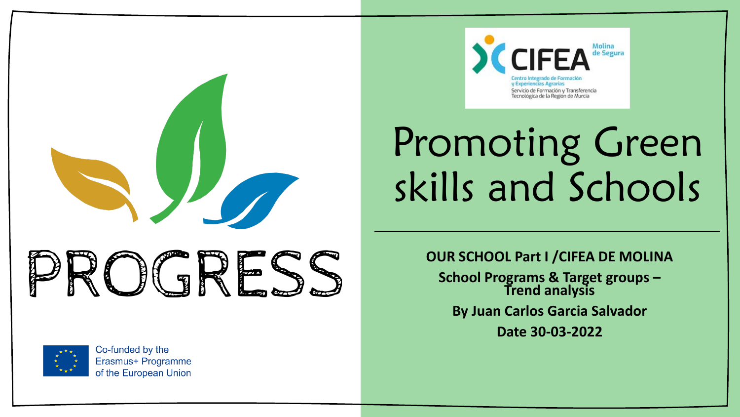



Co-funded by the Erasmus+ Programme of the European Union



# Promoting Green skills and Schools

**OUR SCHOOL Part I /CIFEA DE MOLINA**

**School Programs & Target groups – Trend analysis By Juan Carlos Garcia Salvador**

**Date 30-03-2022**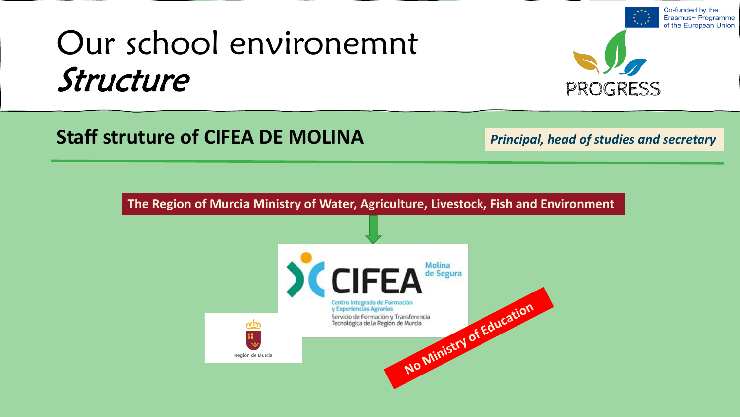## Our school environemnt Structure



Co-funded by the

**Staff struture of CIFEA DE MOLINA**

*Principal, head of studies and secretary*

**The Region of Murcia Ministry of Water, Agriculture, Livestock, Fish and Environment**

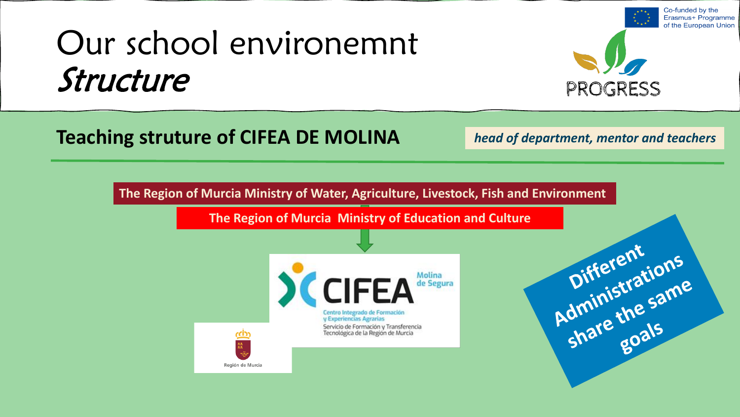## Our school environemnt Structure



Co-funded by the Erasmus+ Programme

### **Teaching struture of CIFEA DE MOLINA**

Región de Murcia

*head of department, mentor and teachers*

**The Region of Murcia Ministry of Water, Agriculture, Livestock, Fish and Environment**

**The Region of Murcia Ministry of Education and Culture**



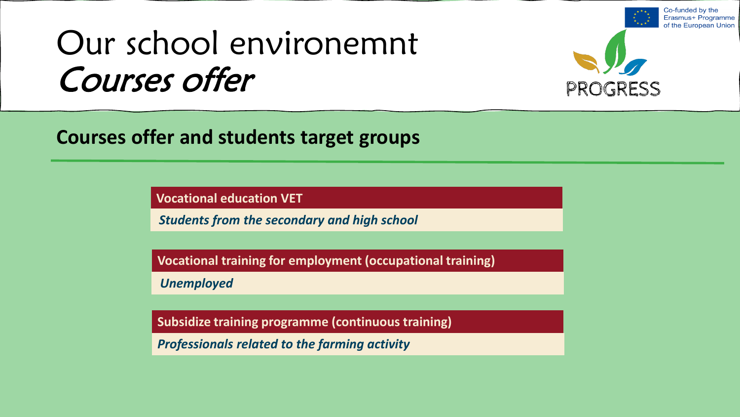## Our school environemnt Courses offer



Co-funded by the Erasmus+ Programme

**Courses offer and students target groups**

**Vocational education VET** 

*Students from the secondary and high school*

**Vocational training for employment (occupational training)**

*Unemployed*

**Subsidize training programme (continuous training)**

*Professionals related to the farming activity*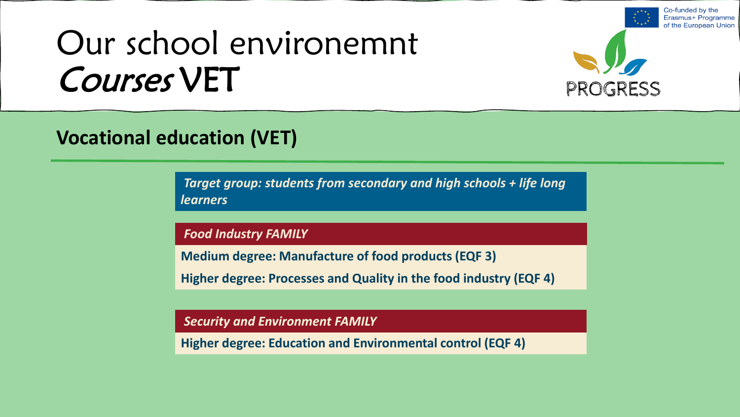## Our school environemnt Courses VET



Co-funded by the Erasmus+ Programme

#### **Vocational education (VET)**

*Target group: students from secondary and high schools + life long learners* 

*Food Industry FAMILY* 

**Medium degree: Manufacture of food products (EQF 3)**

**Higher degree: Processes and Quality in the food industry (EQF 4)**

*Security and Environment FAMILY* 

**Higher degree: Education and Environmental control (EQF 4)**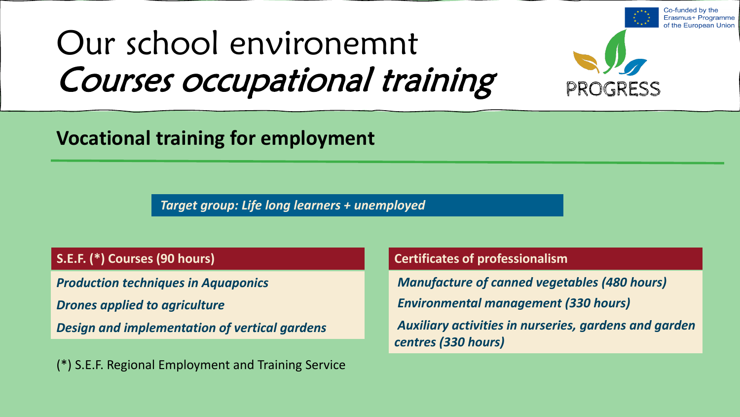## Our school environemnt Courses occupational training



Co-funded by the

#### **Vocational training for employment**

*Target group: Life long learners + unemployed*

#### **S.E.F. (\*) Courses (90 hours)**

*Drones applied to agriculture*

*Design and implementation of vertical gardens*

(\*) S.E.F. Regional Employment and Training Service

#### **Certificates of professionalism**

*Production techniques in Aquaponics Manufacture of canned vegetables (480 hours) Environmental management (330 hours)*

> *Auxiliary activities in nurseries, gardens and garden centres (330 hours)*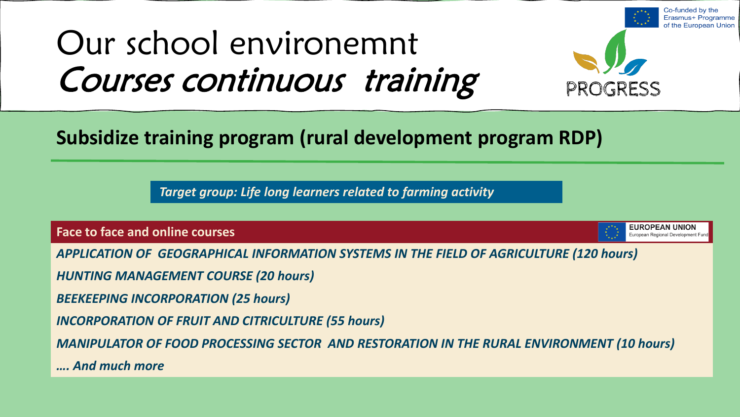## Our school environemnt Courses continuous training



#### **Subsidize training program (rural development program RDP)**

*Target group: Life long learners related to farming activity*

**Face to face and online courses**

**EUROPEAN UNION** European Regional Development Fund

Co-funded by the

*APPLICATION OF GEOGRAPHICAL INFORMATION SYSTEMS IN THE FIELD OF AGRICULTURE (120 hours)*

*HUNTING MANAGEMENT COURSE (20 hours)*

*BEEKEEPING INCORPORATION (25 hours)*

*INCORPORATION OF FRUIT AND CITRICULTURE (55 hours)*

*MANIPULATOR OF FOOD PROCESSING SECTOR AND RESTORATION IN THE RURAL ENVIRONMENT (10 hours)*

*…. And much more*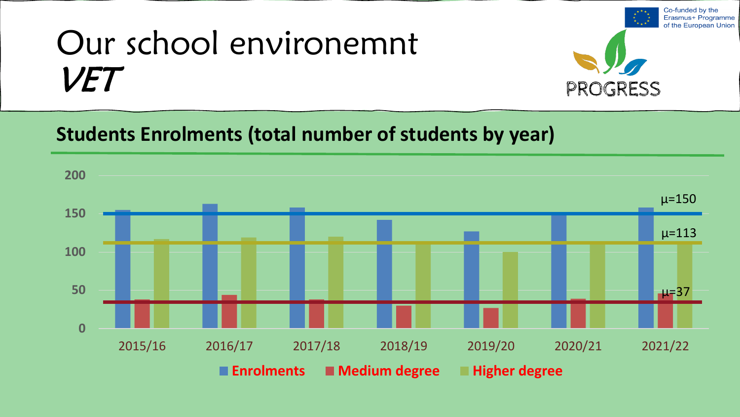

Co-funded by the

### **Students Enrolments (total number of students by year)**

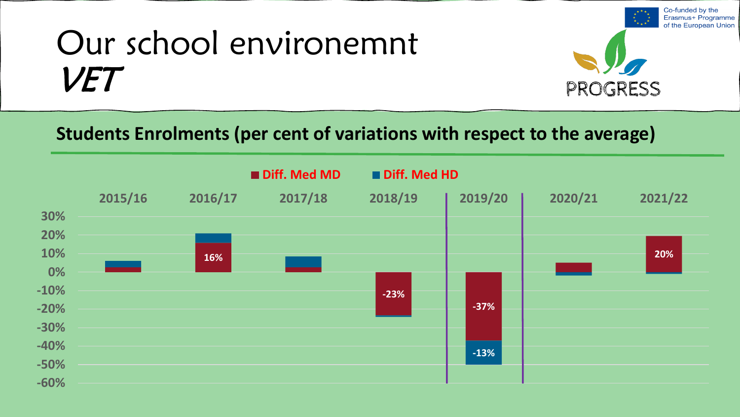

Co-funded by the

#### **Students Enrolments (per cent of variations with respect to the average)**

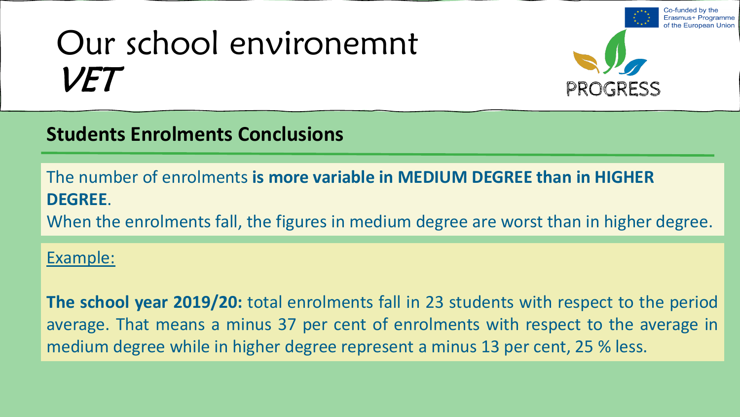

Co-funded by the

the European Union

#### **Students Enrolments Conclusions**

The number of enrolments **is more variable in MEDIUM DEGREE than in HIGHER DEGREE**.

When the enrolments fall, the figures in medium degree are worst than in higher degree.

#### Example:

**The school year 2019/20:** total enrolments fall in 23 students with respect to the period average. That means a minus 37 per cent of enrolments with respect to the average in medium degree while in higher degree represent a minus 13 per cent, 25 % less.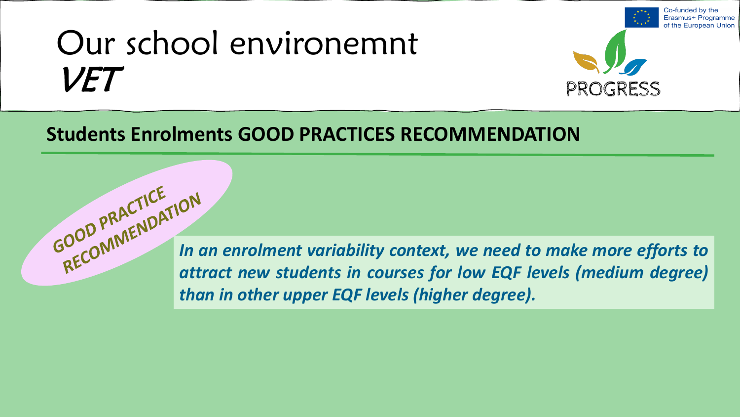

Co-funded by the

#### **Students Enrolments GOOD PRACTICES RECOMMENDATION**

*In an enrolment variability context, we need to make more efforts to attract new students in courses for low EQF levels (medium degree) than in other upper EQF levels (higher degree).*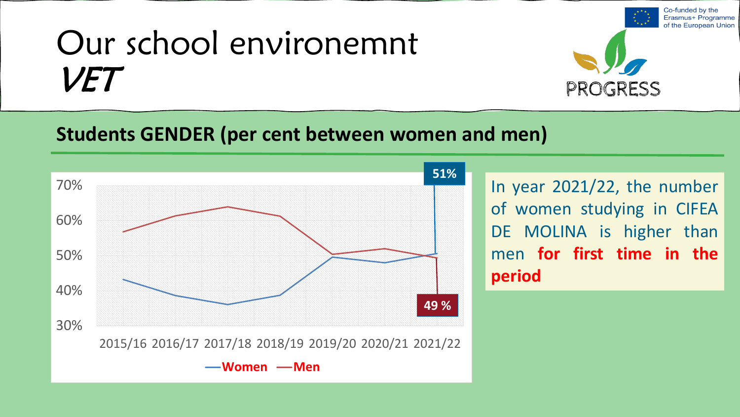

### **Students GENDER (per cent between women and men)**



In year 2021/22, the number of women studying in CIFEA DE MOLINA is higher than men **for first time in the period**

Co-funded by the Erasmus+ Programme of the European Union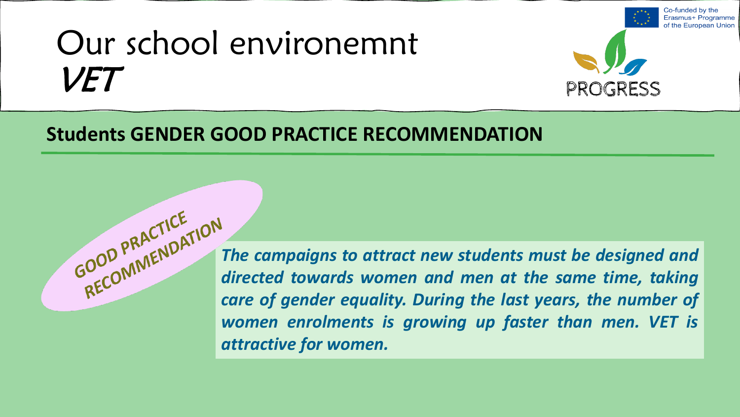

Co-funded by the

#### **Students GENDER GOOD PRACTICE RECOMMENDATION**

*GOOD* PN<sup>C</sup> *The campaigns to attract new students must be designed and are accomment to attract new students must be designed and directed towards women and men at the same time, taking care of gender equality. During the last years, the number of women enrolments is growing up faster than men. VET is attractive for women.*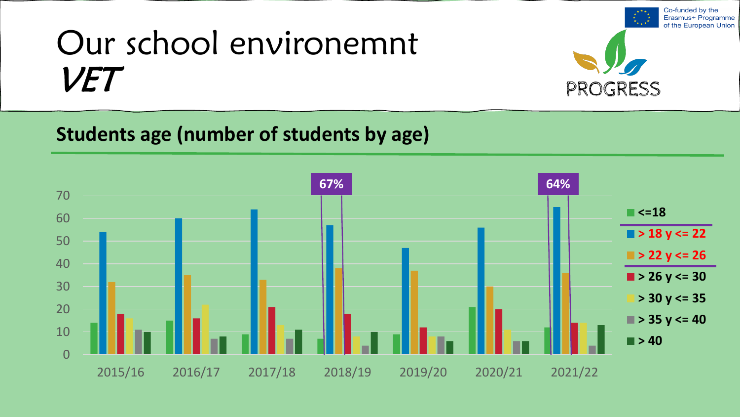

Co-funded by the

### **Students age (number of students by age)**

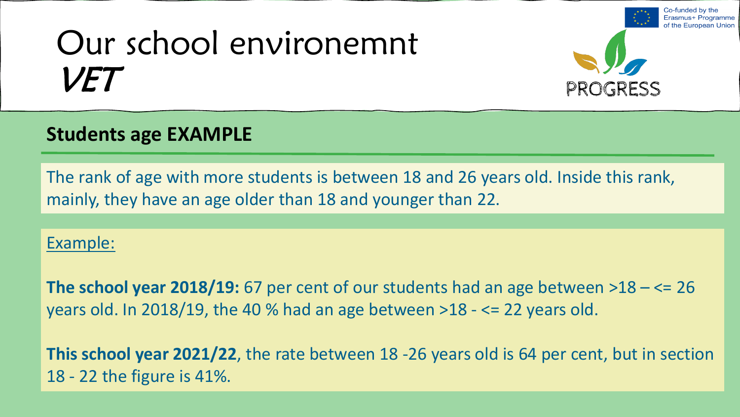

Co-funded by the

Programme

### **Students age EXAMPLE**

The rank of age with more students is between 18 and 26 years old. Inside this rank, mainly, they have an age older than 18 and younger than 22.

#### Example:

**The school year 2018/19:** 67 per cent of our students had an age between >18 – <= 26 years old. In 2018/19, the 40 % had an age between >18 - <= 22 years old.

**This school year 2021/22**, the rate between 18 -26 years old is 64 per cent, but in section 18 - 22 the figure is 41%.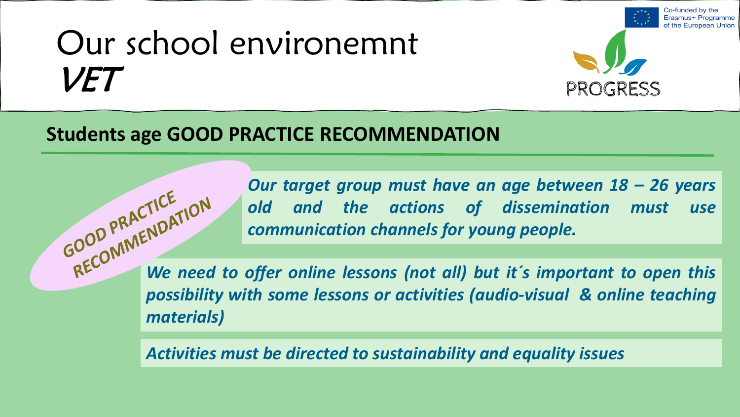

Co-funded by the

#### **Students age GOOD PRACTICE RECOMMENDATION**

*Our target group must have an age between 18 – 26 years old and the actions of dissemination must use communication channels for young people. which is a metally dissemination must* use<br> *RECOMMENT We need to offer online lessons (not all) but it´s important to open this* 

*possibility with some lessons or activities (audio-visual & online teaching materials)*

*Activities must be directed to sustainability and equality issues*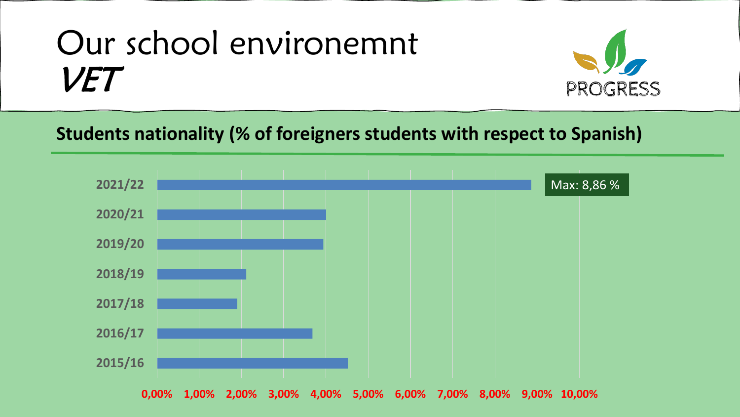

#### **Students nationality (% of foreigners students with respect to Spanish)**

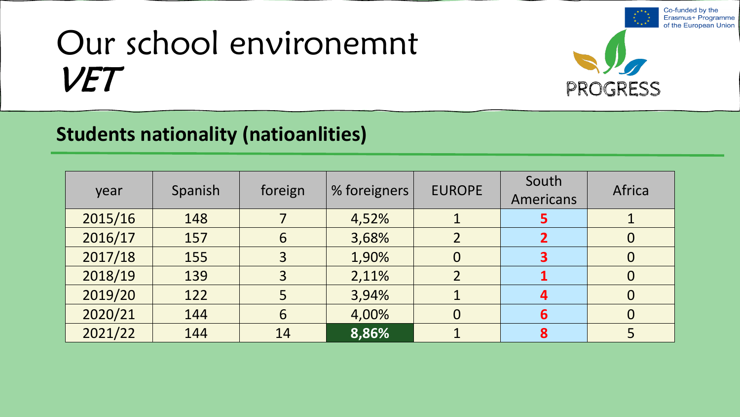

Co-funded by the

#### **Students nationality (natioanlities)**

| year    | Spanish | foreign | % foreigners | <b>EUROPE</b>  | South<br><b>Americans</b> | Africa |
|---------|---------|---------|--------------|----------------|---------------------------|--------|
| 2015/16 | 148     |         | 4,52%        |                | 5                         |        |
| 2016/17 | 157     | 6       | 3,68%        | $\overline{2}$ | $\overline{2}$            |        |
| 2017/18 | 155     | 3       | 1,90%        | $\overline{0}$ | 3                         |        |
| 2018/19 | 139     | 3       | 2,11%        | $\overline{2}$ |                           |        |
| 2019/20 | 122     | 5       | 3,94%        |                | 4                         |        |
| 2020/21 | 144     | 6       | 4,00%        | $\overline{0}$ | 6                         |        |
| 2021/22 | 144     | 14      | 8,86%        |                | 8                         |        |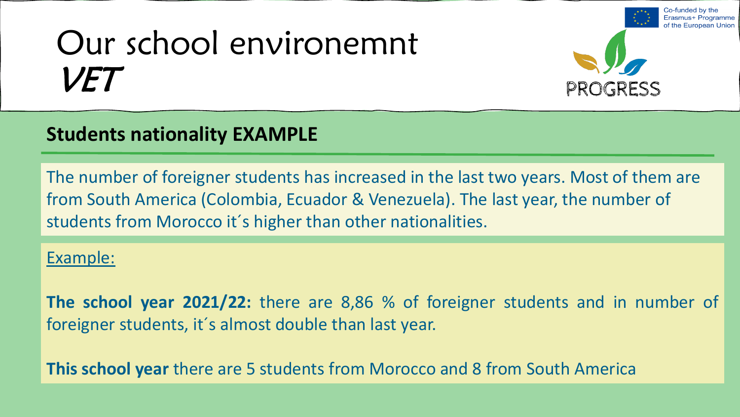

 $\infty$ -funded by the

### **Students nationality EXAMPLE**

The number of foreigner students has increased in the last two years. Most of them are from South America (Colombia, Ecuador & Venezuela). The last year, the number of students from Morocco it´s higher than other nationalities.

#### Example:

**The school year 2021/22:** there are 8,86 % of foreigner students and in number of foreigner students, it´s almost double than last year.

**This school year** there are 5 students from Morocco and 8 from South America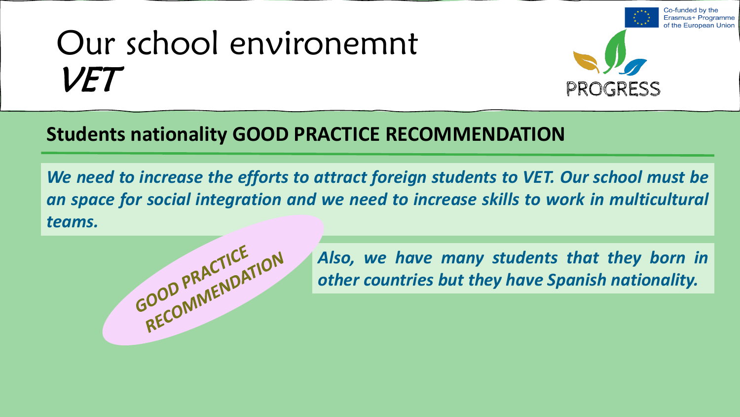

Co-funded by the

the European Union

#### **Students nationality GOOD PRACTICE RECOMMENDATION**

*We need to increase the efforts to attract foreign students to VET. Our school must be an space for social integration and we need to increase skills to work in multicultural teams.*



*Also, we have many students that they born in other countries but they have Spanish nationality.*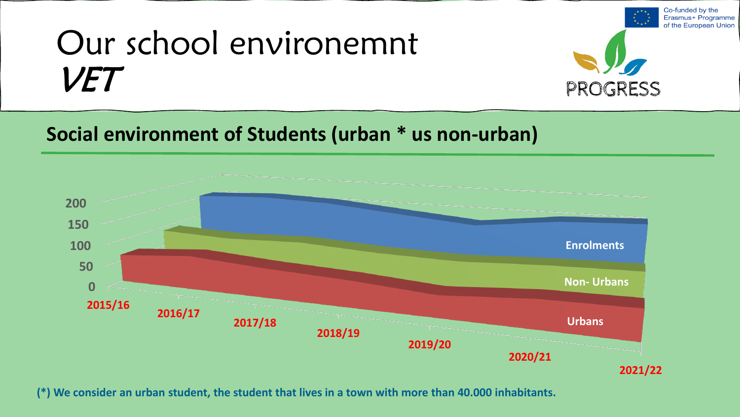

Co-funded by the

### **Social environment of Students (urban \* us non-urban)**



**(\*) We consider an urban student, the student that lives in a town with more than 40.000 inhabitants.**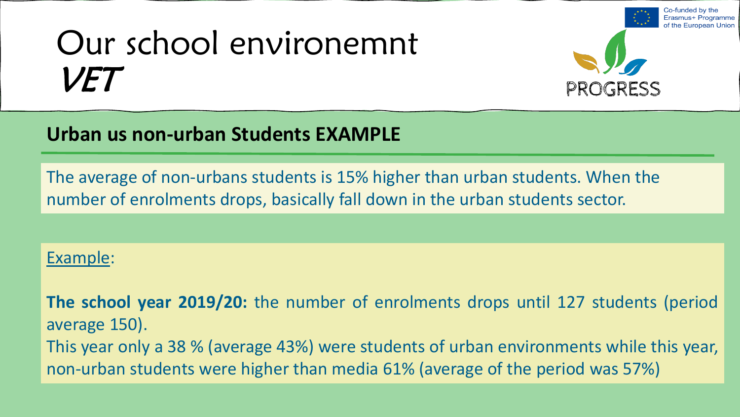

Co-funded by the

the European Union

#### **Urban us non-urban Students EXAMPLE**

The average of non-urbans students is 15% higher than urban students. When the number of enrolments drops, basically fall down in the urban students sector.

#### Example:

**The school year 2019/20:** the number of enrolments drops until 127 students (period average 150). This year only a 38 % (average 43%) were students of urban environments while this year, non-urban students were higher than media 61% (average of the period was 57%)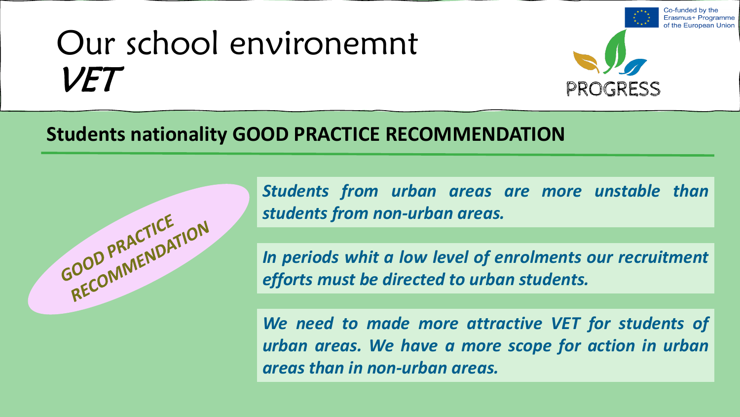

Co-funded by the

#### **Students nationality GOOD PRACTICE RECOMMENDATION**



*Students from urban areas are more unstable than students from non-urban areas.*

*In periods whit a low level of enrolments our recruitment efforts must be directed to urban students.*

*We need to made more attractive VET for students of urban areas. We have a more scope for action in urban areas than in non-urban areas.*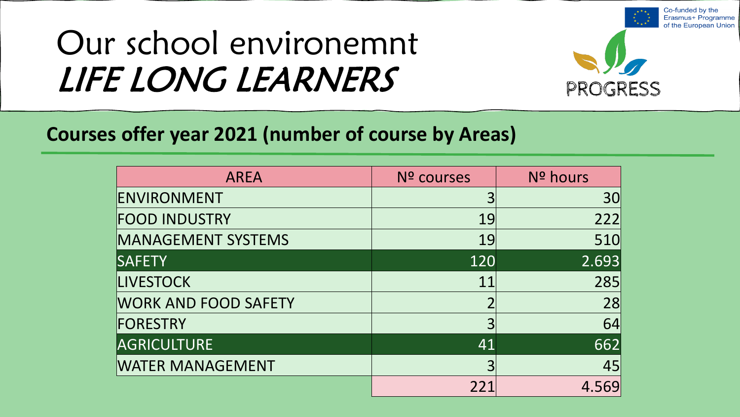

Co-funded by the

### **Courses offer year 2021 (number of course by Areas)**

| <b>AREA</b>                 | Nº courses | Nº hours |
|-----------------------------|------------|----------|
| ENVIRONMENT                 |            | 30       |
| <b>FOOD INDUSTRY</b>        | 19         | 222      |
| <b>MANAGEMENT SYSTEMS</b>   | 19         | 510      |
| <b>SAFETY</b>               | 120        | 2.693    |
| <b>LIVESTOCK</b>            | 11         | 285      |
| <b>WORK AND FOOD SAFETY</b> |            | 28       |
| FORESTRY                    | 3          | 64       |
| <b>AGRICULTURE</b>          | 41         | 662      |
| <b>WATER MANAGEMENT</b>     | 3          | 45       |
|                             | 221        | 4.569    |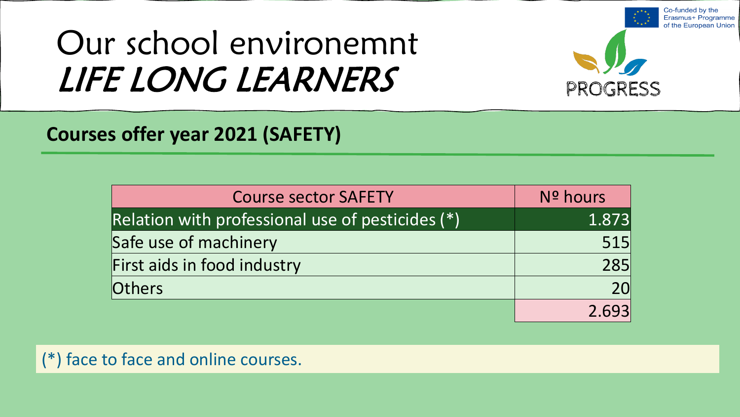

Co-funded by the

### **Courses offer year 2021 (SAFETY)**

| <b>Course sector SAFETY</b>                      | Nº hours |
|--------------------------------------------------|----------|
| Relation with professional use of pesticides (*) | 1.873    |
| Safe use of machinery                            | 515      |
| First aids in food industry                      | 285      |
| Others                                           | 20       |
|                                                  | 2.693    |

(\*) face to face and online courses.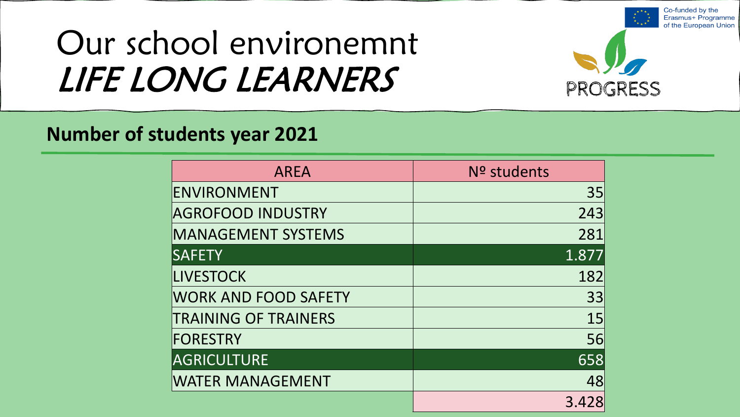

Co-funded by the

#### **Number of students year 2021**

| <b>AREA</b>                 | Nº students |
|-----------------------------|-------------|
| ENVIRONMENT                 | 35          |
| <b>AGROFOOD INDUSTRY</b>    | 243         |
| <b>MANAGEMENT SYSTEMS</b>   | 281         |
| <b>SAFETY</b>               | 1.877       |
| <b>LIVESTOCK</b>            | 182         |
| <b>WORK AND FOOD SAFETY</b> | 33          |
| <b>TRAINING OF TRAINERS</b> | 15          |
| <b>FORESTRY</b>             | 56          |
| <b>AGRICULTURE</b>          | 658         |
| <b>WATER MANAGEMENT</b>     | 48          |
|                             | 3.428       |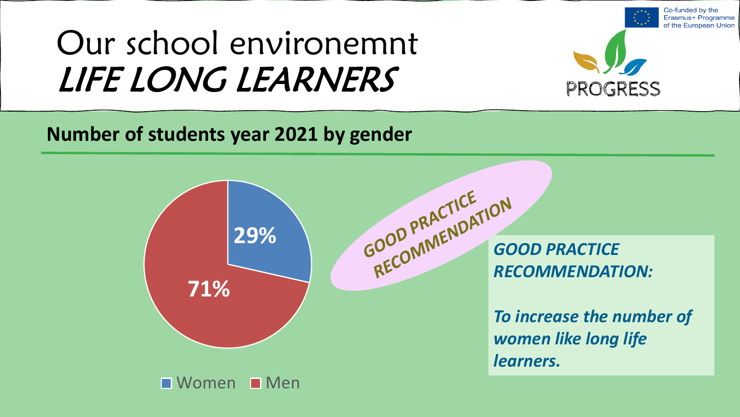

Co-funded by the Erasmus+ Programme

### **Number of students year 2021 by gender**

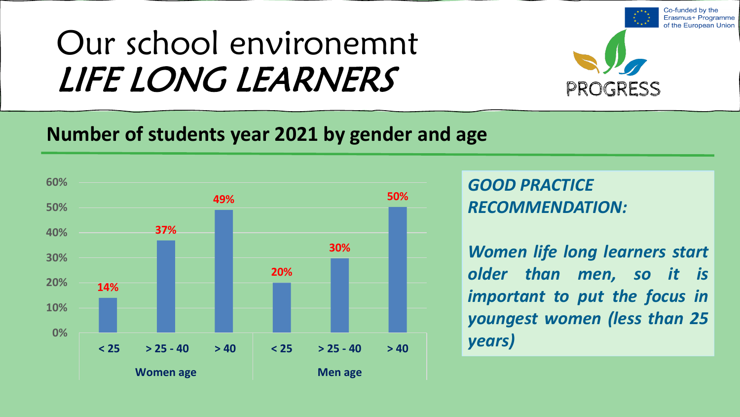

Co-funded by the

### **Number of students year 2021 by gender and age**



*GOOD PRACTICE RECOMMENDATION:*

*Women life long learners start older than men, so it is important to put the focus in youngest women (less than 25 years)*